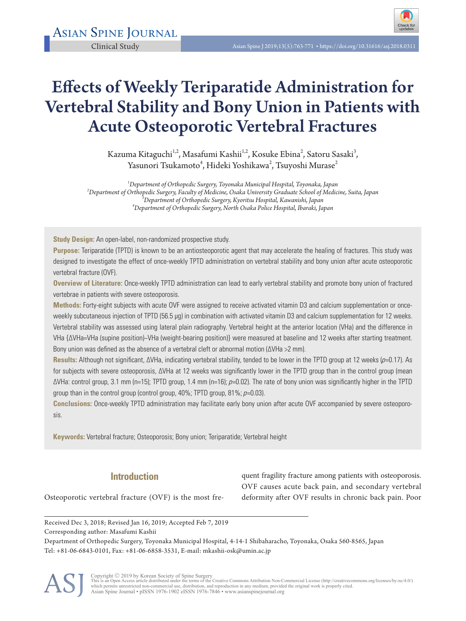

# Effects of Weekly Teriparatide Administration for Vertebral Stability and Bony Union in Patients with Acute Osteoporotic Vertebral Fractures

Kazuma Kitaguchi $^{1,2}$ , Masafumi Kashii $^{1,2}$ , Kosuke Ebina $^{2}$ , Satoru Sasaki $^{3}$ , Yasunori Tsukamoto $^4$ , Hideki Yoshikawa $^2$ , Tsuyoshi Murase $^2$ 

*1 Department of Orthopedic Surgery, Toyonaka Municipal Hospital, Toyonaka, Japan <sup>2</sup> Department of Orthopedic Surgery, Faculty of Medicine, Osaka University Graduate School of Medicine, Suita, Japan <sup>3</sup> Department of Orthopedic Surgery, Kyoritsu Hospital, Kawanishi, Japan <sup>4</sup> Department of Orthopedic Surgery, North Osaka Police Hospital, Ibaraki, Japan* 

**Study Design:** An open-label, non-randomized prospective study.

**Purpose:** Teriparatide (TPTD) is known to be an antiosteoporotic agent that may accelerate the healing of fractures. This study was designed to investigate the effect of once-weekly TPTD administration on vertebral stability and bony union after acute osteoporotic vertebral fracture (OVF).

**Overview of Literature:** Once-weekly TPTD administration can lead to early vertebral stability and promote bony union of fractured vertebrae in patients with severe osteoporosis.

**Methods:** Forty-eight subjects with acute OVF were assigned to receive activated vitamin D3 and calcium supplementation or onceweekly subcutaneous injection of TPTD (56.5 µg) in combination with activated vitamin D3 and calcium supplementation for 12 weeks. Vertebral stability was assessed using lateral plain radiography. Vertebral height at the anterior location (VHa) and the difference in VHa {ΔVHa=VHa (supine position)−VHa (weight-bearing position)} were measured at baseline and 12 weeks after starting treatment. Bony union was defined as the absence of a vertebral cleft or abnormal motion (ΔVHa >2 mm).

**Results:** Although not significant, ΔVHa, indicating vertebral stability, tended to be lower in the TPTD group at 12 weeks (p=0.17). As for subjects with severe osteoporosis, ΔVHa at 12 weeks was significantly lower in the TPTD group than in the control group (mean ΔVHa: control group, 3.1 mm (n=15); TPTD group, 1.4 mm (n=16); p=0.02). The rate of bony union was significantly higher in the TPTD group than in the control group (control group, 40%; TPTD group, 81%;  $p=0.03$ ).

**Conclusions:** Once-weekly TPTD administration may facilitate early bony union after acute OVF accompanied by severe osteoporosis.

**Keywords:** Vertebral fracture; Osteoporosis; Bony union; Teriparatide; Vertebral height

# **Introduction**

quent fragility fracture among patients with osteoporosis. OVF causes acute back pain, and secondary vertebral deformity after OVF results in chronic back pain. Poor

Osteoporotic vertebral fracture (OVF) is the most fre-

Received Dec 3, 2018; Revised Jan 16, 2019; Accepted Feb 7, 2019

Corresponding author: Masafumi Kashii

Department of Orthopedic Surgery, Toyonaka Municipal Hospital, 4-14-1 Shibaharacho, Toyonaka, Osaka 560-8565, Japan Tel: +81-06-6843-0101, Fax: +81-06-6858-3531, E-mail: mkashii-osk@umin.ac.jp



Copyright © 2019 by Korean Society of Spine Surgery<br>This is an Open Access article distributed under the terms of the Creative Commons Attribution Non-Commercial License (http://creativecommons.org/licenses/by-nc/4.0/)<br>whi Asian Spine Journal • pISSN 1976-1902 eISSN 1976-7846 • www.asianspinejournal.org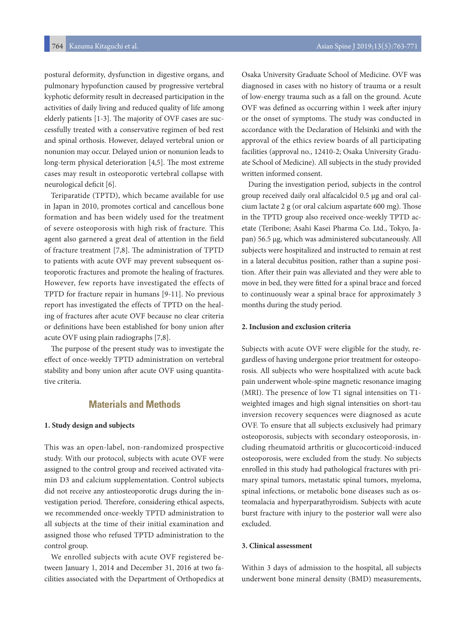postural deformity, dysfunction in digestive organs, and pulmonary hypofunction caused by progressive vertebral kyphotic deformity result in decreased participation in the activities of daily living and reduced quality of life among elderly patients [1-3]. The majority of OVF cases are successfully treated with a conservative regimen of bed rest and spinal orthosis. However, delayed vertebral union or nonunion may occur. Delayed union or nonunion leads to long-term physical deterioration [4,5]. The most extreme cases may result in osteoporotic vertebral collapse with neurological deficit [6].

Teriparatide (TPTD), which became available for use in Japan in 2010, promotes cortical and cancellous bone formation and has been widely used for the treatment of severe osteoporosis with high risk of fracture. This agent also garnered a great deal of attention in the field of fracture treatment [7,8]. The administration of TPTD to patients with acute OVF may prevent subsequent osteoporotic fractures and promote the healing of fractures. However, few reports have investigated the effects of TPTD for fracture repair in humans [9-11]. No previous report has investigated the effects of TPTD on the healing of fractures after acute OVF because no clear criteria or definitions have been established for bony union after acute OVF using plain radiographs [7,8].

The purpose of the present study was to investigate the effect of once-weekly TPTD administration on vertebral stability and bony union after acute OVF using quantitative criteria.

# **Materials and Methods**

#### **1. Study design and subjects**

This was an open-label, non-randomized prospective study. With our protocol, subjects with acute OVF were assigned to the control group and received activated vitamin D3 and calcium supplementation. Control subjects did not receive any antiosteoporotic drugs during the investigation period. Therefore, considering ethical aspects, we recommended once-weekly TPTD administration to all subjects at the time of their initial examination and assigned those who refused TPTD administration to the control group.

We enrolled subjects with acute OVF registered between January 1, 2014 and December 31, 2016 at two facilities associated with the Department of Orthopedics at Osaka University Graduate School of Medicine. OVF was diagnosed in cases with no history of trauma or a result of low-energy trauma such as a fall on the ground. Acute OVF was defined as occurring within 1 week after injury or the onset of symptoms. The study was conducted in accordance with the Declaration of Helsinki and with the approval of the ethics review boards of all participating facilities (approval no., 12410-2; Osaka University Graduate School of Medicine). All subjects in the study provided written informed consent.

During the investigation period, subjects in the control group received daily oral alfacalcidol 0.5 μg and oral calcium lactate 2 g (or oral calcium aspartate 600 mg). Those in the TPTD group also received once-weekly TPTD acetate (Teribone; Asahi Kasei Pharma Co. Ltd., Tokyo, Japan) 56.5 μg, which was administered subcutaneously. All subjects were hospitalized and instructed to remain at rest in a lateral decubitus position, rather than a supine position. After their pain was alleviated and they were able to move in bed, they were fitted for a spinal brace and forced to continuously wear a spinal brace for approximately 3 months during the study period.

#### **2. Inclusion and exclusion criteria**

Subjects with acute OVF were eligible for the study, regardless of having undergone prior treatment for osteoporosis. All subjects who were hospitalized with acute back pain underwent whole-spine magnetic resonance imaging (MRI). The presence of low T1 signal intensities on T1 weighted images and high signal intensities on short-tau inversion recovery sequences were diagnosed as acute OVF. To ensure that all subjects exclusively had primary osteoporosis, subjects with secondary osteoporosis, including rheumatoid arthritis or glucocorticoid-induced osteoporosis, were excluded from the study. No subjects enrolled in this study had pathological fractures with primary spinal tumors, metastatic spinal tumors, myeloma, spinal infections, or metabolic bone diseases such as osteomalacia and hyperparathyroidism. Subjects with acute burst fracture with injury to the posterior wall were also excluded.

#### **3. Clinical assessment**

Within 3 days of admission to the hospital, all subjects underwent bone mineral density (BMD) measurements,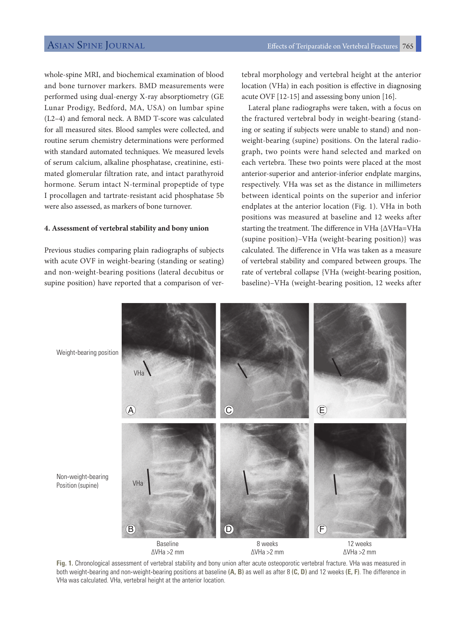whole-spine MRI, and biochemical examination of blood and bone turnover markers. BMD measurements were performed using dual-energy X-ray absorptiometry (GE Lunar Prodigy, Bedford, MA, USA) on lumbar spine (L2–4) and femoral neck. A BMD T-score was calculated for all measured sites. Blood samples were collected, and routine serum chemistry determinations were performed with standard automated techniques. We measured levels of serum calcium, alkaline phosphatase, creatinine, estimated glomerular filtration rate, and intact parathyroid hormone. Serum intact N-terminal propeptide of type I procollagen and tartrate-resistant acid phosphatase 5b were also assessed, as markers of bone turnover.

### **4. Assessment of vertebral stability and bony union**

Previous studies comparing plain radiographs of subjects with acute OVF in weight-bearing (standing or seating) and non-weight-bearing positions (lateral decubitus or supine position) have reported that a comparison of ver-

tebral morphology and vertebral height at the anterior location (VHa) in each position is effective in diagnosing acute OVF [12-15] and assessing bony union [16].

Lateral plane radiographs were taken, with a focus on the fractured vertebral body in weight-bearing (standing or seating if subjects were unable to stand) and nonweight-bearing (supine) positions. On the lateral radiograph, two points were hand selected and marked on each vertebra. These two points were placed at the most anterior-superior and anterior-inferior endplate margins, respectively. VHa was set as the distance in millimeters between identical points on the superior and inferior endplates at the anterior location (Fig. 1). VHa in both positions was measured at baseline and 12 weeks after starting the treatment. The difference in VHa {ΔVHa=VHa (supine position)–VHa (weight-bearing position)} was calculated. The difference in VHa was taken as a measure of vertebral stability and compared between groups. The rate of vertebral collapse {VHa (weight-bearing position, baseline)–VHa (weight-bearing position, 12 weeks after



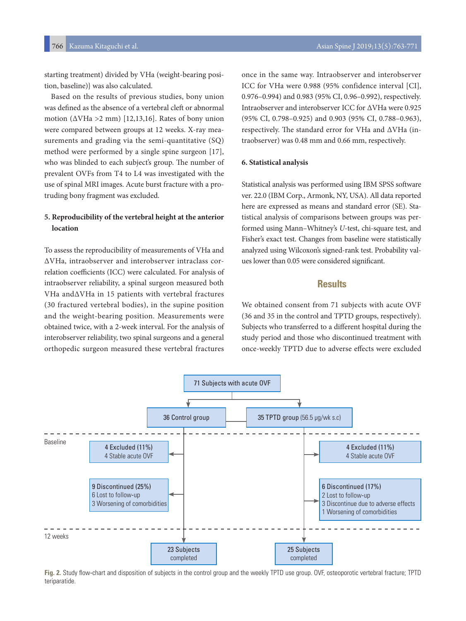starting treatment) divided by VHa (weight-bearing position, baseline)} was also calculated.

Based on the results of previous studies, bony union was defined as the absence of a vertebral cleft or abnormal motion ( $\Delta V$ Ha >2 mm) [12,13,16]. Rates of bony union were compared between groups at 12 weeks. X-ray measurements and grading via the semi-quantitative (SQ) method were performed by a single spine surgeon [17], who was blinded to each subject's group. The number of prevalent OVFs from T4 to L4 was investigated with the use of spinal MRI images. Acute burst fracture with a protruding bony fragment was excluded.

# **5. Reproducibility of the vertebral height at the anterior location**

To assess the reproducibility of measurements of VHa and ΔVHa, intraobserver and interobserver intraclass correlation coefficients (ICC) were calculated. For analysis of intraobserver reliability, a spinal surgeon measured both VHa andΔVHa in 15 patients with vertebral fractures (30 fractured vertebral bodies), in the supine position and the weight-bearing position. Measurements were obtained twice, with a 2-week interval. For the analysis of interobserver reliability, two spinal surgeons and a general orthopedic surgeon measured these vertebral fractures

once in the same way. Intraobserver and interobserver ICC for VHa were 0.988 (95% confidence interval [CI], 0.976–0.994) and 0.983 (95% CI, 0.96–0.992), respectively. Intraobserver and interobserver ICC for ΔVHa were 0.925 (95% CI, 0.798–0.925) and 0.903 (95% CI, 0.788–0.963), respectively. The standard error for VHa and ΔVHa (intraobserver) was 0.48 mm and 0.66 mm, respectively.

#### **6. Statistical analysis**

Statistical analysis was performed using IBM SPSS software ver. 22.0 (IBM Corp., Armonk, NY, USA). All data reported here are expressed as means and standard error (SE). Statistical analysis of comparisons between groups was performed using Mann–Whitney's *U*-test, chi-square test, and Fisher's exact test. Changes from baseline were statistically analyzed using Wilcoxon's signed-rank test. Probability values lower than 0.05 were considered significant.

# **Results**

We obtained consent from 71 subjects with acute OVF (36 and 35 in the control and TPTD groups, respectively). Subjects who transferred to a different hospital during the study period and those who discontinued treatment with once-weekly TPTD due to adverse effects were excluded



**Fig. 2.** Study flow-chart and disposition of subjects in the control group and the weekly TPTD use group. OVF, osteoporotic vertebral fracture; TPTD teriparatide.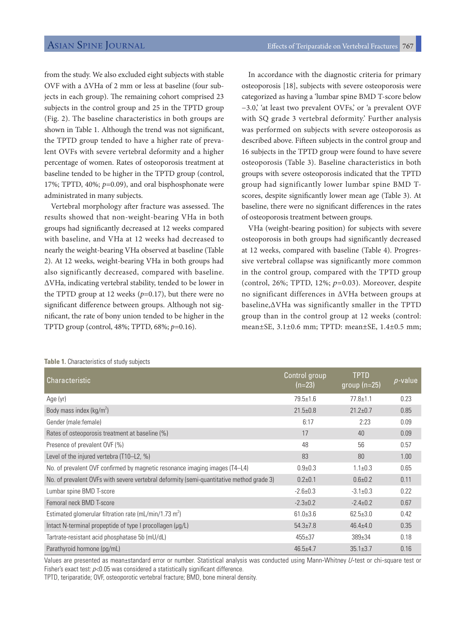from the study. We also excluded eight subjects with stable OVF with a ΔVHa of 2 mm or less at baseline (four subjects in each group). The remaining cohort comprised 23 subjects in the control group and 25 in the TPTD group (Fig. 2). The baseline characteristics in both groups are shown in Table 1. Although the trend was not significant, the TPTD group tended to have a higher rate of prevalent OVFs with severe vertebral deformity and a higher percentage of women. Rates of osteoporosis treatment at baseline tended to be higher in the TPTD group (control, 17%; TPTD, 40%; *p*=0.09), and oral bisphosphonate were administrated in many subjects.

Vertebral morphology after fracture was assessed. The results showed that non-weight-bearing VHa in both groups had significantly decreased at 12 weeks compared with baseline, and VHa at 12 weeks had decreased to nearly the weight-bearing VHa observed at baseline (Table 2). At 12 weeks, weight-bearing VHa in both groups had also significantly decreased, compared with baseline. ΔVHa, indicating vertebral stability, tended to be lower in the TPTD group at 12 weeks  $(p=0.17)$ , but there were no significant difference between groups. Although not significant, the rate of bony union tended to be higher in the TPTD group (control, 48%; TPTD, 68%; *p*=0.16).

In accordance with the diagnostic criteria for primary osteoporosis [18], subjects with severe osteoporosis were categorized as having a 'lumbar spine BMD T-score below −3.0,' 'at least two prevalent OVFs,' or 'a prevalent OVF with SQ grade 3 vertebral deformity.' Further analysis was performed on subjects with severe osteoporosis as described above. Fifteen subjects in the control group and 16 subjects in the TPTD group were found to have severe osteoporosis (Table 3). Baseline characteristics in both groups with severe osteoporosis indicated that the TPTD group had significantly lower lumbar spine BMD Tscores, despite significantly lower mean age (Table 3). At baseline, there were no significant differences in the rates of osteoporosis treatment between groups.

VHa (weight-bearing position) for subjects with severe osteoporosis in both groups had significantly decreased at 12 weeks, compared with baseline (Table 4). Progressive vertebral collapse was significantly more common in the control group, compared with the TPTD group (control, 26%; TPTD, 12%;  $p=0.03$ ). Moreover, despite no significant differences in ΔVHa between groups at baseline,ΔVHa was significantly smaller in the TPTD group than in the control group at 12 weeks (control: mean±SE, 3.1±0.6 mm; TPTD: mean±SE, 1.4±0.5 mm;

| <b>Characteristic</b>                                                                    | Control group<br>$(n=23)$ | <b>TPTD</b><br>group $(n=25)$ | $p$ -value |
|------------------------------------------------------------------------------------------|---------------------------|-------------------------------|------------|
| Age (yr)                                                                                 | $79.5 \pm 1.6$            | $77.8 + 1.1$                  | 0.23       |
| Body mass index ( $kg/m2$ )                                                              | $21.5 \pm 0.8$            | $21.2 \pm 0.7$                | 0.85       |
| Gender (male: female)                                                                    | 6:17                      | 2:23                          | 0.09       |
| Rates of osteoporosis treatment at baseline (%)                                          | 17                        | 40                            | 0.09       |
| Presence of prevalent OVF (%)                                                            | 48                        | 56                            | 0.57       |
| Level of the injured vertebra (T10–L2, %)                                                | 83                        | 80                            | 1.00       |
| No. of prevalent OVF confirmed by magnetic resonance imaging images (T4–L4)              | $0.9 + 0.3$               | $1.1 \pm 0.3$                 | 0.65       |
| No. of prevalent OVFs with severe vertebral deformity (semi-quantitative method grade 3) | $0.2 + 0.1$               | $0.6 + 0.2$                   | 0.11       |
| Lumbar spine BMD T-score                                                                 | $-2.6 \pm 0.3$            | $-3.1 \pm 0.3$                | 0.22       |
| Femoral neck BMD T-score                                                                 | $-2.3 \pm 0.2$            | $-2.4 \pm 0.2$                | 0.67       |
| Estimated glomerular filtration rate (mL/min/1.73 m <sup>2</sup> )                       | $61.0 \pm 3.6$            | $62.5 \pm 3.0$                | 0.42       |
| Intact N-terminal propeptide of type I procollagen (µg/L)                                | $54.3{\pm}7.8$            | $46.4 \pm 4.0$                | 0.35       |
| Tartrate-resistant acid phosphatase 5b (mU/dL)                                           | $455 \pm 37$              | $389 \pm 34$                  | 0.18       |
| Parathyroid hormone (pg/mL)                                                              | $46.5 + 4.7$              | $35.1 \pm 3.7$                | 0.16       |

#### **Table 1.** Characteristics of study subjects

Values are presented as mean±standard error or number. Statistical analysis was conducted using Mann-Whitney U-test or chi-square test or Fisher's exact test:  $p<0.05$  was considered a statistically significant difference.

TPTD, teriparatide; OVF, osteoporotic vertebral fracture; BMD, bone mineral density.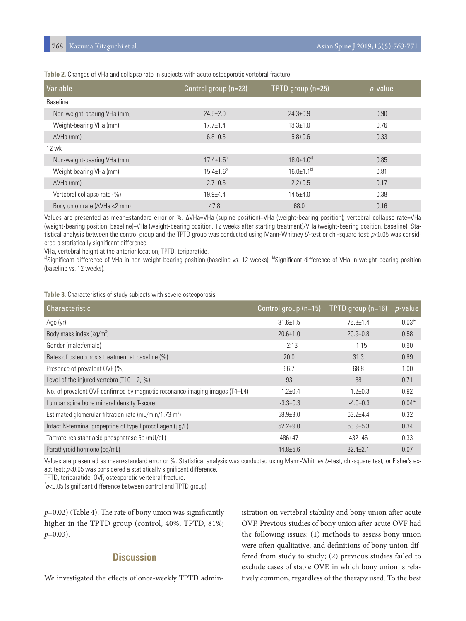| Variable                               | Control group (n=23) | TPTD group (n=25)            | $p$ -value |
|----------------------------------------|----------------------|------------------------------|------------|
| <b>Baseline</b>                        |                      |                              |            |
| Non-weight-bearing VHa (mm)            | $24.5 \pm 2.0$       | $24.3 \pm 0.9$               | 0.90       |
| Weight-bearing VHa (mm)                | $17.7 \pm 1.4$       | $18.3 \pm 1.0$               | 0.76       |
| $\Delta V$ Ha (mm)                     | $6.8 + 0.6$          | $5.8 + 0.6$                  | 0.33       |
| <b>12 wk</b>                           |                      |                              |            |
| Non-weight-bearing VHa (mm)            | $17.4 \pm 1.5^{a}$   | $18.0 \pm 1.0$ <sup>a)</sup> | 0.85       |
| Weight-bearing VHa (mm)                | $15.4 \pm 1.6^{b}$   | $16.0 \pm 1.1^{b}$           | 0.81       |
| $\Delta V$ Ha (mm)                     | $2.7 \pm 0.5$        | $2.2 \pm 0.5$                | 0.17       |
| Vertebral collapse rate (%)            | $19.9 + 4.4$         | $14.5 + 4.0$                 | 0.38       |
| Bony union rate ( $\Delta V$ Ha <2 mm) | 47.8                 | 68.0                         | 0.16       |

**Table 2.** Changes of VHa and collapse rate in subjects with acute osteoporotic vertebral fracture

Values are presented as mean±standard error or %. ΔVHa=VHa (supine position)−VHa (weight-bearing position); vertebral collapse rate=VHa (weight-bearing position, baseline)−VHa (weight-bearing position, 12 weeks after starting treatment)/VHa (weight-bearing position, baseline). Statistical analysis between the control group and the TPTD group was conducted using Mann-Whitney  $U$ -test or chi-square test:  $p<0.05$  was considered a statistically significant difference.

VHa, vertebral height at the anterior location; TPTD, teriparatide.

a)Significant difference of VHa in non-weight-bearing position (baseline vs. 12 weeks). <sup>b</sup>Significant difference of VHa in weight-bearing position (baseline vs. 12 weeks).

**Table 3.** Characteristics of study subjects with severe osteoporosis

| Characteristic                                                              | Control group (n=15) | TPTD group $(n=16)$ | $p$ -value |
|-----------------------------------------------------------------------------|----------------------|---------------------|------------|
| Age (yr)                                                                    | $81.6 \pm 1.5$       | $76.8 \pm 1.4$      | $0.03*$    |
| Body mass index ( $kg/m2$ )                                                 | $20.6 \pm 1.0$       | $20.9 \pm 0.8$      | 0.58       |
| Gender (male: female)                                                       | 2:13                 | 1:15                | 0.60       |
| Rates of osteoporosis treatment at baseline (%)                             | 20.0                 | 31.3                | 0.69       |
| Presence of prevalent OVF (%)                                               | 66.7                 | 68.8                | 1.00       |
| Level of the injured vertebra (T10-L2, %)                                   | 93                   | 88                  | 0.71       |
| No. of prevalent OVF confirmed by magnetic resonance imaging images (T4–L4) | $1.2 + 0.4$          | $1.2 + 0.3$         | 0.92       |
| Lumbar spine bone mineral density T-score                                   | $-3.3 \pm 0.3$       | $-4.0 \pm 0.3$      | $0.04*$    |
| Estimated glomerular filtration rate (mL/min/1.73 m <sup>2</sup> )          | $58.9 \pm 3.0$       | $63.2 + 4.4$        | 0.32       |
| Intact N-terminal propeptide of type I procollagen (µg/L)                   | $52.2 + 9.0$         | $53.9{\pm}5.3$      | 0.34       |
| Tartrate-resistant acid phosphatase 5b (mU/dL)                              | $486 + 47$           | $432 + 46$          | 0.33       |
| Parathyroid hormone (pg/mL)                                                 | $44.8 \pm 5.6$       | $32.4 \pm 2.1$      | 0.07       |

Values are presented as mean±standard error or %. Statistical analysis was conducted using Mann-Whitney U-test, chi-square test, or Fisher's exact test:  $p<0.05$  was considered a statistically significant difference.

TPTD, teriparatide; OVF, osteoporotic vertebral fracture.

 $\phi$  <0.05 (significant difference between control and TPTD group).

*p*=0.02) (Table 4). The rate of bony union was significantly higher in the TPTD group (control, 40%; TPTD, 81%; *p*=0.03).

# **Discussion**

We investigated the effects of once-weekly TPTD admin-

istration on vertebral stability and bony union after acute OVF. Previous studies of bony union after acute OVF had the following issues: (1) methods to assess bony union were often qualitative, and definitions of bony union differed from study to study; (2) previous studies failed to exclude cases of stable OVF, in which bony union is relatively common, regardless of the therapy used. To the best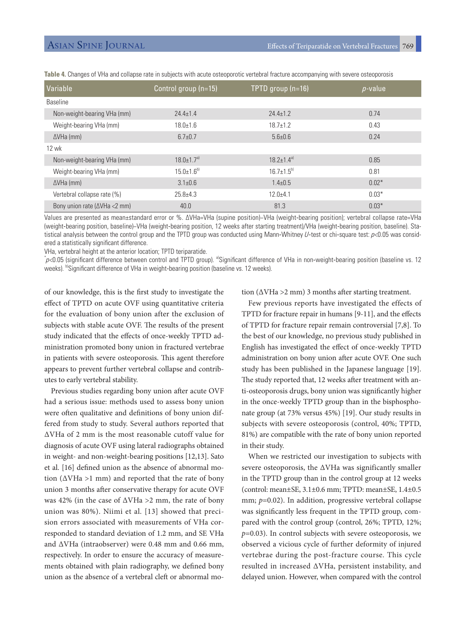| Variable                               | Control group (n=15)         | TPTD group (n=16)  | $p$ -value |
|----------------------------------------|------------------------------|--------------------|------------|
| <b>Baseline</b>                        |                              |                    |            |
| Non-weight-bearing VHa (mm)            | $24.4 + 1.4$                 | $24.4 + 1.2$       | 0.74       |
| Weight-bearing VHa (mm)                | $18.0 \pm 1.6$               | $18.7 \pm 1.2$     | 0.43       |
| $\Delta V$ Ha (mm)                     | $6.7 \pm 0.7$                | $5.6 + 0.6$        | 0.24       |
| 12 wk                                  |                              |                    |            |
| Non-weight-bearing VHa (mm)            | $18.0 \pm 1.7$ <sup>a)</sup> | $187+14^{a}$       | 0.85       |
| Weight-bearing VHa (mm)                | $15.0 \pm 1.6^{b}$           | $16.7 \pm 1.5^{b}$ | 0.81       |
| $\Delta V$ Ha (mm)                     | $3.1 \pm 0.6$                | $1.4 \pm 0.5$      | $0.02*$    |
| Vertebral collapse rate (%)            | $25.8 + 4.3$                 | $12.0 + 4.1$       | $0.03*$    |
| Bony union rate ( $\Delta V$ Ha <2 mm) | 40.0                         | 81.3               | $0.03*$    |

**Table 4.** Changes of VHa and collapse rate in subjects with acute osteoporotic vertebral fracture accompanying with severe osteoporosis

Values are presented as mean±standard error or %. ΔVHa=VHa (supine position)−VHa (weight-bearing position); vertebral collapse rate=VHa (weight-bearing position, baseline)−VHa (weight-bearing position, 12 weeks after starting treatment)/VHa (weight-bearing position, baseline). Statistical analysis between the control group and the TPTD group was conducted using Mann-Whitney  $U$ -test or chi-square test:  $p<0.05$  was considered a statistically significant difference.

VHa, vertebral height at the anterior location; TPTD teriparatide.

p<0.05 (significant difference between control and TPTD group). <sup>a</sup>Significant difference of VHa in non-weight-bearing position (baseline vs. 12 weeks). b)Significant difference of VHa in weight-bearing position (baseline vs. 12 weeks).

of our knowledge, this is the first study to investigate the effect of TPTD on acute OVF using quantitative criteria for the evaluation of bony union after the exclusion of subjects with stable acute OVF. The results of the present study indicated that the effects of once-weekly TPTD administration promoted bony union in fractured vertebrae in patients with severe osteoporosis. This agent therefore appears to prevent further vertebral collapse and contributes to early vertebral stability.

Previous studies regarding bony union after acute OVF had a serious issue: methods used to assess bony union were often qualitative and definitions of bony union differed from study to study. Several authors reported that ΔVHa of 2 mm is the most reasonable cutoff value for diagnosis of acute OVF using lateral radiographs obtained in weight- and non-weight-bearing positions [12,13]. Sato et al. [16] defined union as the absence of abnormal motion ( $\Delta V$ Ha >1 mm) and reported that the rate of bony union 3 months after conservative therapy for acute OVF was 42% (in the case of  $\Delta V$ Ha >2 mm, the rate of bony union was 80%). Niimi et al. [13] showed that precision errors associated with measurements of VHa corresponded to standard deviation of 1.2 mm, and SE VHa and ΔVHa (intraobserver) were 0.48 mm and 0.66 mm, respectively. In order to ensure the accuracy of measurements obtained with plain radiography, we defined bony union as the absence of a vertebral cleft or abnormal motion ( $\Delta V$ Ha > 2 mm) 3 months after starting treatment.

Few previous reports have investigated the effects of TPTD for fracture repair in humans [9-11], and the effects of TPTD for fracture repair remain controversial [7,8]. To the best of our knowledge, no previous study published in English has investigated the effect of once-weekly TPTD administration on bony union after acute OVF. One such study has been published in the Japanese language [19]. The study reported that, 12 weeks after treatment with anti-osteoporosis drugs, bony union was significantly higher in the once-weekly TPTD group than in the bisphosphonate group (at 73% versus 45%) [19]. Our study results in subjects with severe osteoporosis (control, 40%; TPTD, 81%) are compatible with the rate of bony union reported in their study.

When we restricted our investigation to subjects with severe osteoporosis, the ΔVHa was significantly smaller in the TPTD group than in the control group at 12 weeks (control: mean±SE, 3.1±0.6 mm; TPTD: mean±SE, 1.4±0.5 mm;  $p=0.02$ ). In addition, progressive vertebral collapse was significantly less frequent in the TPTD group, compared with the control group (control, 26%; TPTD, 12%; *p*=0.03). In control subjects with severe osteoporosis, we observed a vicious cycle of further deformity of injured vertebrae during the post-fracture course. This cycle resulted in increased ΔVHa, persistent instability, and delayed union. However, when compared with the control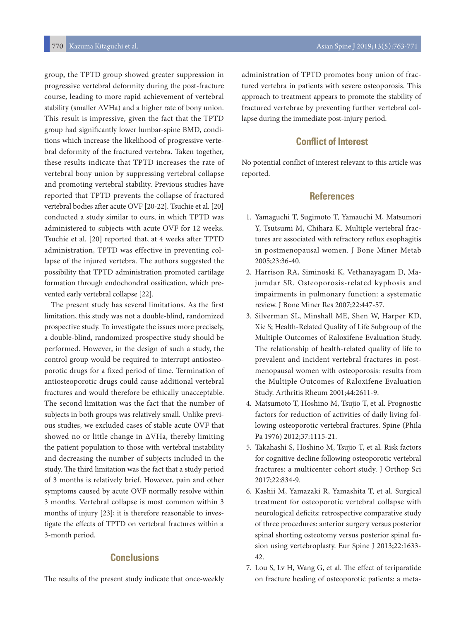group, the TPTD group showed greater suppression in progressive vertebral deformity during the post-fracture course, leading to more rapid achievement of vertebral stability (smaller ΔVHa) and a higher rate of bony union. This result is impressive, given the fact that the TPTD group had significantly lower lumbar-spine BMD, conditions which increase the likelihood of progressive vertebral deformity of the fractured vertebra. Taken together, these results indicate that TPTD increases the rate of vertebral bony union by suppressing vertebral collapse and promoting vertebral stability. Previous studies have reported that TPTD prevents the collapse of fractured vertebral bodies after acute OVF [20-22]. Tsuchie et al. [20] conducted a study similar to ours, in which TPTD was administered to subjects with acute OVF for 12 weeks. Tsuchie et al. [20] reported that, at 4 weeks after TPTD administration, TPTD was effective in preventing collapse of the injured vertebra. The authors suggested the possibility that TPTD administration promoted cartilage formation through endochondral ossification, which prevented early vertebral collapse [22].

The present study has several limitations. As the first limitation, this study was not a double-blind, randomized prospective study. To investigate the issues more precisely, a double-blind, randomized prospective study should be performed. However, in the design of such a study, the control group would be required to interrupt antiosteoporotic drugs for a fixed period of time. Termination of antiosteoporotic drugs could cause additional vertebral fractures and would therefore be ethically unacceptable. The second limitation was the fact that the number of subjects in both groups was relatively small. Unlike previous studies, we excluded cases of stable acute OVF that showed no or little change in ΔVHa, thereby limiting the patient population to those with vertebral instability and decreasing the number of subjects included in the study. The third limitation was the fact that a study period of 3 months is relatively brief. However, pain and other symptoms caused by acute OVF normally resolve within 3 months. Vertebral collapse is most common within 3 months of injury [23]; it is therefore reasonable to investigate the effects of TPTD on vertebral fractures within a 3-month period.

# **Conclusions**

The results of the present study indicate that once-weekly

administration of TPTD promotes bony union of fractured vertebra in patients with severe osteoporosis. This approach to treatment appears to promote the stability of fractured vertebrae by preventing further vertebral collapse during the immediate post-injury period.

# **Conflict of Interest**

No potential conflict of interest relevant to this article was reported.

## **References**

- 1. Yamaguchi T, Sugimoto T, Yamauchi M, Matsumori Y, Tsutsumi M, Chihara K. Multiple vertebral fractures are associated with refractory reflux esophagitis in postmenopausal women. J Bone Miner Metab 2005;23:36-40.
- 2. Harrison RA, Siminoski K, Vethanayagam D, Majumdar SR. Osteoporosis-related kyphosis and impairments in pulmonary function: a systematic review. J Bone Miner Res 2007;22:447-57.
- 3. Silverman SL, Minshall ME, Shen W, Harper KD, Xie S; Health-Related Quality of Life Subgroup of the Multiple Outcomes of Raloxifene Evaluation Study. The relationship of health-related quality of life to prevalent and incident vertebral fractures in postmenopausal women with osteoporosis: results from the Multiple Outcomes of Raloxifene Evaluation Study. Arthritis Rheum 2001;44:2611-9.
- 4. Matsumoto T, Hoshino M, Tsujio T, et al. Prognostic factors for reduction of activities of daily living following osteoporotic vertebral fractures. Spine (Phila Pa 1976) 2012;37:1115-21.
- 5. Takahashi S, Hoshino M, Tsujio T, et al. Risk factors for cognitive decline following osteoporotic vertebral fractures: a multicenter cohort study. J Orthop Sci 2017;22:834-9.
- 6. Kashii M, Yamazaki R, Yamashita T, et al. Surgical treatment for osteoporotic vertebral collapse with neurological deficits: retrospective comparative study of three procedures: anterior surgery versus posterior spinal shorting osteotomy versus posterior spinal fusion using vertebroplasty. Eur Spine J 2013;22:1633- 42.
- 7. Lou S, Lv H, Wang G, et al. The effect of teriparatide on fracture healing of osteoporotic patients: a meta-